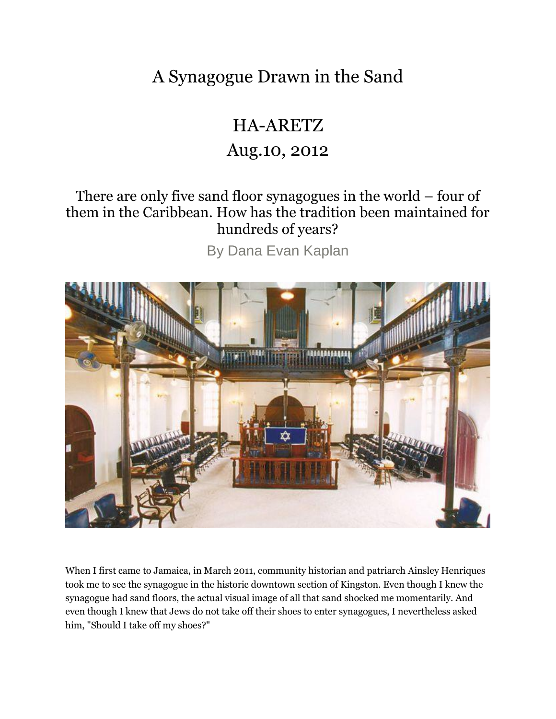A Synagogue Drawn in the Sand

## HA-ARETZ

## Aug.10, 2012

## There are only five sand floor synagogues in the world – four of them in the Caribbean. How has the tradition been maintained for hundreds of years?

By Dana Evan Kaplan



When I first came to Jamaica, in March 2011, community historian and patriarch Ainsley Henriques took me to see the synagogue in the historic downtown section of Kingston. Even though I knew the synagogue had sand floors, the actual visual image of all that sand shocked me momentarily. And even though I knew that Jews do not take off their shoes to enter synagogues, I nevertheless asked him, "Should I take off my shoes?"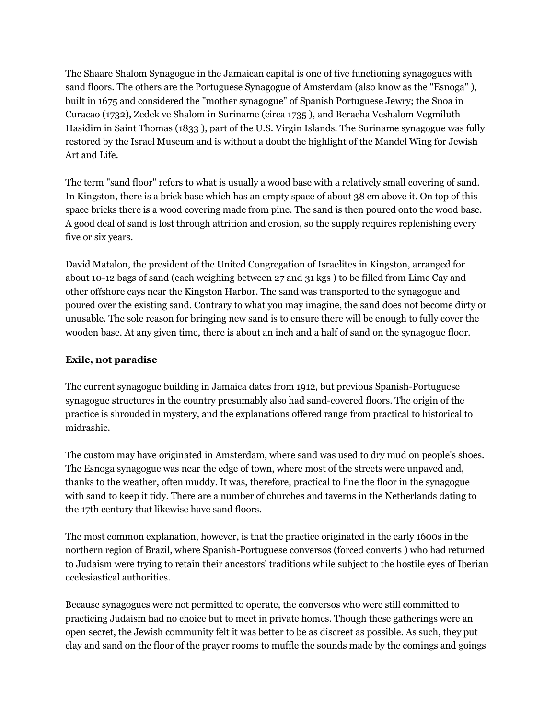The Shaare Shalom Synagogue in the Jamaican capital is one of five functioning synagogues with sand floors. The others are the Portuguese Synagogue of Amsterdam (also know as the "Esnoga" ), built in 1675 and considered the "mother synagogue" of Spanish Portuguese Jewry; the Snoa in Curacao (1732), Zedek ve Shalom in Suriname (circa 1735 ), and Beracha Veshalom Vegmiluth Hasidim in Saint Thomas (1833 ), part of the U.S. Virgin Islands. The Suriname synagogue was fully restored by the Israel Museum and is without a doubt the highlight of the Mandel Wing for Jewish Art and Life.

The term "sand floor" refers to what is usually a wood base with a relatively small covering of sand. In Kingston, there is a brick base which has an empty space of about 38 cm above it. On top of this space bricks there is a wood covering made from pine. The sand is then poured onto the wood base. A good deal of sand is lost through attrition and erosion, so the supply requires replenishing every five or six years.

David Matalon, the president of the United Congregation of Israelites in Kingston, arranged for about 10-12 bags of sand (each weighing between 27 and 31 kgs ) to be filled from Lime Cay and other offshore cays near the Kingston Harbor. The sand was transported to the synagogue and poured over the existing sand. Contrary to what you may imagine, the sand does not become dirty or unusable. The sole reason for bringing new sand is to ensure there will be enough to fully cover the wooden base. At any given time, there is about an inch and a half of sand on the synagogue floor.

## **Exile, not paradise**

The current synagogue building in Jamaica dates from 1912, but previous Spanish-Portuguese synagogue structures in the country presumably also had sand-covered floors. The origin of the practice is shrouded in mystery, and the explanations offered range from practical to historical to midrashic.

The custom may have originated in Amsterdam, where sand was used to dry mud on people's shoes. The Esnoga synagogue was near the edge of town, where most of the streets were unpaved and, thanks to the weather, often muddy. It was, therefore, practical to line the floor in the synagogue with sand to keep it tidy. There are a number of churches and taverns in the Netherlands dating to the 17th century that likewise have sand floors.

The most common explanation, however, is that the practice originated in the early 1600s in the northern region of Brazil, where Spanish-Portuguese conversos (forced converts ) who had returned to Judaism were trying to retain their ancestors' traditions while subject to the hostile eyes of Iberian ecclesiastical authorities.

Because synagogues were not permitted to operate, the conversos who were still committed to practicing Judaism had no choice but to meet in private homes. Though these gatherings were an open secret, the Jewish community felt it was better to be as discreet as possible. As such, they put clay and sand on the floor of the prayer rooms to muffle the sounds made by the comings and goings